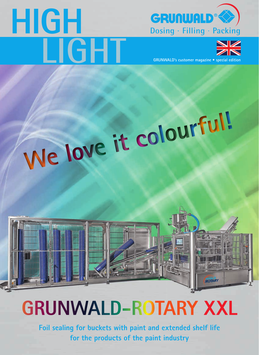# **HIGH**





**GRUNWALD's customer magazine • special edition**

ROTARY

# **We love it colourful!**

## **GRUNWALD-ROTARY XXL**

**Foil sealing for buckets with paint and extended shelf life for the products of the paint industry**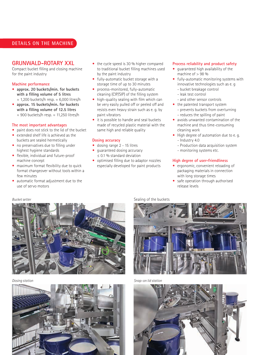#### **DETAILS ON THE MACHINE**

#### **GRUNWALD-ROTARY XXL**

Compact bucket filling and closing machine for the paint industry

#### **Machine performance**

- **• approx. 20 buckets/min. for buckets with a filling volume of 5 litres**  ≈ 1,200 buckets/h resp. ≈ 6,000 litres/h
- **• approx. 15 buckets/min. for buckets with a filling volume of 12.5 litres** ≈ 900 buckets/h resp. ≈ 11,250 litres/h

#### **The most important advantages**

- **•** paint does not stick to the lid of the bucket
- **•** extended shelf life is achieved as the buckets are sealed hermetically
- **•** no preservatives due to filling under highest hygiene standards
- **•** flexible, individual and future-proof machine concept
- **•** maximum format flexibility due to quick format changeover without tools within a few minutes
- **•** automatic format adjustment due to the use of servo motors
- the cycle speed is 30 % higher compared to traditional bucket filling machines used by the paint industry
- **•** fully-automatic bucket storage with a storage time of up to 30 minutes
- **•** process-monitored, fully-automatic cleaning (CIP/SIP) of the filling system
- **•** high-quality sealing with film which can be very easily pulled off or peeled off and resists even heavy strain such as e. g. by paint vibrators
- **•** it is possible to handle and seal buckets made of recycled plastic material with the same high and reliable quality

#### **Dosing accuracy**

- **•** dosing range 2 15 litres
- **•** guaranteed dosing accuracy ≤ 0.1 % standard deviation
- **•** optimised filling due to adaptor nozzles especially developed for paint products

#### **Process reliability and product safety**

- **•** guaranteed high availability of the machine of  $> 98$ %
- **•** fully-automatic monitoring systems with innovative technologies such as e. g
	- bucket breakage control
	- leak test control
	- and other sensor controls
- **•** the patented transport system
	- prevents buckets from overturning - reduces the spilling of paint
- **•** avoids unwanted contamination of the machine and thus time-consuming
- cleaning work **•** High degree of automation due to e. g. - Industry 4.0
- - Production data acquisition system
- monitoring systems etc.

#### **High degree of user-friendliness**

- **•** ergonomic, convenient reloading of packaging materials in connection with long storage times
- **•** safe operation through authorised release levels





**Bucket setter** Sealing of the buckets **Sealing** of the buckets



*Dosing station Snap-on lid station* 

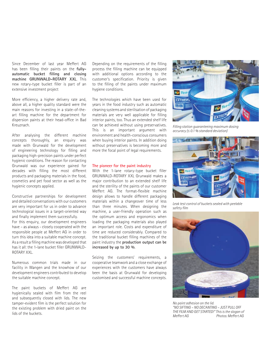Since December of last year Meffert AG has been filling their paints on the **fullyautomatic bucket filling and closing machine GRUNWALD-ROTARY XXL**. This new rotary-type bucket filler is part of an extensive investment project

More efficiency, a higher delivery rate and, above all, a higher quality standard were the main reasons for investing in a state-of-theart filling machine for the department for dispersion paints at their head-office in Bad Kreuznach.

After analysing the different machine concepts thoroughly, an enquiry was made with Grunwald for the development of engineering technology for filling and packaging high-precision paints under perfect hygienic conditions. The reason for contacting Grunwald was our experience gained for decades with filling the most different products and packaging materials in the food, cosmetics and pet food sector as well as the hygienic concepts applied.

Constructive partnerships for development and detailed conversations with our customers are very important for us in order to advance technological issues in a target-oriented way and finally implement them successfully. For this enquiry, our development engineers have – as always - closely cooperated with the responsible people at Meffert AG in order to turn this idea into a suitable machine concept. As a result a filling machine was developed that has it all: the 1-lane bucket filler GRUNWALD-ROTARY XXL.

Numerous common trials made in our facility in Wangen and the knowhow of our development engineers contributed to develop the suitable machine concept.

The paint buckets of Meffert AG are hygienically sealed with film from the reel and subsequently closed with lids. The new tamper-evident film is the perfect solution for the existing problem with dried paint on the lids of the buckets.

Depending on the requirements of the filling process the filling machine can be equipped with additional options according to the customer's specification. Priority is given to the filling of the paints under maximum hygiene conditions.

The technologies which have been used for years in the food industry such as automatic cleaning systems and sterilisation of packaging materials are very well applicable for filling interior paints, too. Thus an extended shelf life can be achieved without using preservatives. This is an important argument with environment and health-conscious consumers when buying interior paints. In addition doing without preservatives is becoming more and more the focal point of legal requirements.

#### **The pioneer for the paint industry**

With the 1-lane rotary-type bucket filler GRUNWALD-ROTARY XXL Grunwald makes a major contribution to an extended shelf life and the sterility of the paints of our customer Meffert AG. The format-flexible machine design allows to handle different packaging materials within a changeover time of less than three minutes. When designing the machine, a user-friendly operation such as the optimum access and ergonomics when loading the packaging materials also played an important role. Costs and expenditure of time are reduced considerably. Compared to the traditional bucket filling machines of the paint industry the **production output can be increased by up to 30 %**.

Seizing the customers' requirements, a cooperative teamwork and a close exchange of experiences with the customers have always been the basis at Grunwald for developing customised and successful machine concepts.



*Filling station guaranteeing maximum dosing accuracy (≤ 0.1 % standard deviation)* 



*Leak test control of buckets sealed with peelable safety film*



*No paint adhesion on the lid. "NO SIFTING – NO DECANTING – JUST PULL OFF THE FILM AND GET STARTED!" This is the slogan of Meffert AG Photos: Meffert AG*